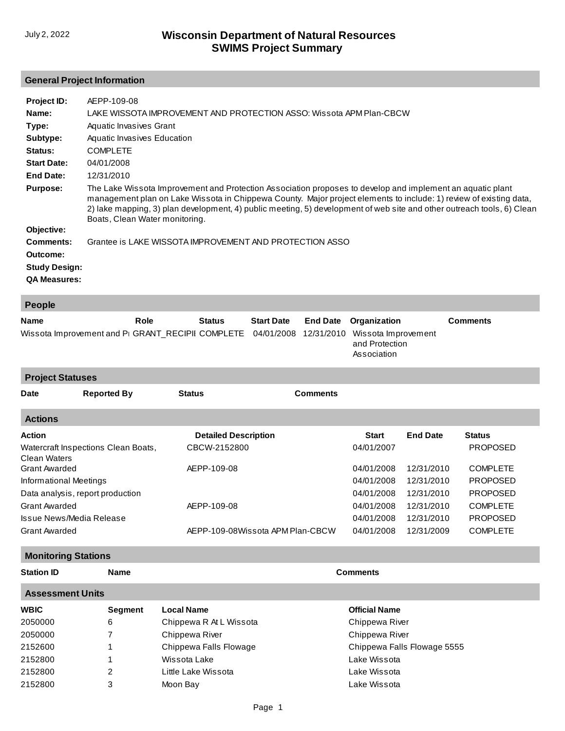## **General Project Information**

| Project ID:          | AEPP-109-08                                                                                                                                                                                                                                                                                                                                                                                  |
|----------------------|----------------------------------------------------------------------------------------------------------------------------------------------------------------------------------------------------------------------------------------------------------------------------------------------------------------------------------------------------------------------------------------------|
| Name:                | LAKE WISSOTA IMPROVEMENT AND PROTECTION ASSO: Wissota APM Plan-CBCW                                                                                                                                                                                                                                                                                                                          |
| Type:                | Aquatic Invasives Grant                                                                                                                                                                                                                                                                                                                                                                      |
| Subtype:             | Aquatic Invasives Education                                                                                                                                                                                                                                                                                                                                                                  |
| Status:              | <b>COMPLETE</b>                                                                                                                                                                                                                                                                                                                                                                              |
| <b>Start Date:</b>   | 04/01/2008                                                                                                                                                                                                                                                                                                                                                                                   |
| End Date:            | 12/31/2010                                                                                                                                                                                                                                                                                                                                                                                   |
| <b>Purpose:</b>      | The Lake Wissota Improvement and Protection Association proposes to develop and implement an aquatic plant<br>management plan on Lake Wissota in Chippewa County. Major project elements to include: 1) review of existing data,<br>2) lake mapping, 3) plan development, 4) public meeting, 5) development of web site and other outreach tools, 6) Clean<br>Boats, Clean Water monitoring. |
| Objective:           |                                                                                                                                                                                                                                                                                                                                                                                              |
| Comments:            | Grantee is LAKE WISSOTA IMPROVEMENT AND PROTECTION ASSO                                                                                                                                                                                                                                                                                                                                      |
| Outcome:             |                                                                                                                                                                                                                                                                                                                                                                                              |
| <b>Study Design:</b> |                                                                                                                                                                                                                                                                                                                                                                                              |
| <b>QA Measures:</b>  |                                                                                                                                                                                                                                                                                                                                                                                              |
| <b>People</b>        |                                                                                                                                                                                                                                                                                                                                                                                              |

| $\sim$ $\sim$ $\sim$ $\sim$ $\sim$                                                                      |      |               |  |  |                                         |                 |  |
|---------------------------------------------------------------------------------------------------------|------|---------------|--|--|-----------------------------------------|-----------------|--|
| <b>Name</b>                                                                                             | Role | <b>Status</b> |  |  | <b>Start Date</b> End Date Organization | <b>Comments</b> |  |
| Wissota Improvement and P <sub>1</sub> GRANT_RECIPII COMPLETE 04/01/2008 12/31/2010 Wissota Improvement |      |               |  |  | and Protection<br>Association           |                 |  |

**Project Statuses**

| Date                     | <b>Reported By</b>                  | <b>Status</b>                    | <b>Comments</b> |              |                 |                 |
|--------------------------|-------------------------------------|----------------------------------|-----------------|--------------|-----------------|-----------------|
| <b>Actions</b>           |                                     |                                  |                 |              |                 |                 |
| <b>Action</b>            |                                     | <b>Detailed Description</b>      |                 | <b>Start</b> | <b>End Date</b> | <b>Status</b>   |
| Clean Waters             | Watercraft Inspections Clean Boats, | CBCW-2152800                     |                 | 04/01/2007   |                 | <b>PROPOSED</b> |
| <b>Grant Awarded</b>     |                                     | AEPP-109-08                      |                 | 04/01/2008   | 12/31/2010      | <b>COMPLETE</b> |
| Informational Meetings   |                                     |                                  |                 | 04/01/2008   | 12/31/2010      | <b>PROPOSED</b> |
|                          | Data analysis, report production    |                                  |                 | 04/01/2008   | 12/31/2010      | <b>PROPOSED</b> |
| <b>Grant Awarded</b>     |                                     | AEPP-109-08                      |                 | 04/01/2008   | 12/31/2010      | <b>COMPLETE</b> |
| Issue News/Media Release |                                     |                                  |                 | 04/01/2008   | 12/31/2010      | <b>PROPOSED</b> |
| <b>Grant Awarded</b>     |                                     | AEPP-109-08Wissota APM Plan-CBCW |                 | 04/01/2008   | 12/31/2009      | <b>COMPLETE</b> |

## **Monitoring Stations**

**Station ID Name Comments**

| <b>Assessment Units</b> |                |                         |                             |  |  |  |
|-------------------------|----------------|-------------------------|-----------------------------|--|--|--|
| <b>WBIC</b>             | <b>Segment</b> | Local Name              | <b>Official Name</b>        |  |  |  |
| 2050000                 | 6              | Chippewa R At L Wissota | Chippewa River              |  |  |  |
| 2050000                 |                | Chippewa River          | Chippewa River              |  |  |  |
| 2152600                 |                | Chippewa Falls Flowage  | Chippewa Falls Flowage 5555 |  |  |  |
| 2152800                 |                | Wissota Lake            | Lake Wissota                |  |  |  |
| 2152800                 | 2              | Little Lake Wissota     | Lake Wissota                |  |  |  |
| 2152800                 | 3              | Moon Bay                | Lake Wissota                |  |  |  |